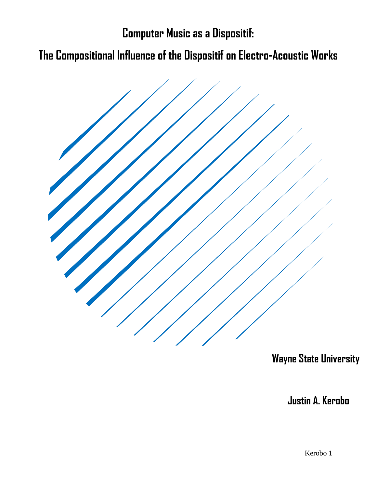**Computer Music as a Dispositif:**

**The Compositional Influence of the Dispositif on Electro-Acoustic Works**



 **Wayne State University**

 **Justin A. Kerobo**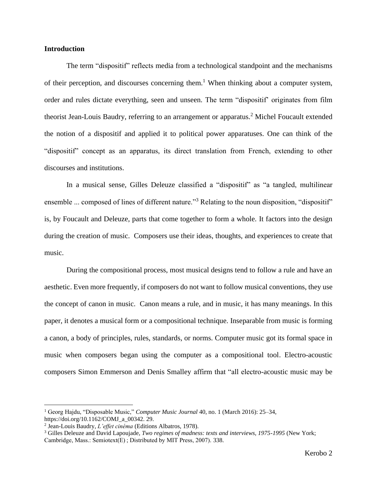# **Introduction**

The term "dispositif" reflects media from a technological standpoint and the mechanisms of their perception, and discourses concerning them.<sup>1</sup> When thinking about a computer system, order and rules dictate everything, seen and unseen. The term "dispositif' originates from film theorist Jean-Louis Baudry, referring to an arrangement or apparatus.<sup>2</sup> Michel Foucault extended the notion of a dispositif and applied it to political power apparatuses. One can think of the "dispositif" concept as an apparatus, its direct translation from French, extending to other discourses and institutions.

In a musical sense, Gilles Deleuze classified a "dispositif" as "a tangled, multilinear ensemble ... composed of lines of different nature."<sup>3</sup> Relating to the noun disposition, "dispositif" is, by Foucault and Deleuze, parts that come together to form a whole. It factors into the design during the creation of music. Composers use their ideas, thoughts, and experiences to create that music.

During the compositional process, most musical designs tend to follow a rule and have an aesthetic. Even more frequently, if composers do not want to follow musical conventions, they use the concept of canon in music. Canon means a rule, and in music, it has many meanings. In this paper, it denotes a musical form or a compositional technique. Inseparable from music is forming a canon, a body of principles, rules, standards, or norms. Computer music got its formal space in music when composers began using the computer as a compositional tool. Electro-acoustic composers Simon Emmerson and Denis Smalley affirm that "all electro-acoustic music may be

<sup>1</sup> Georg Hajdu, "Disposable Music," *Computer Music Journal* 40, no. 1 (March 2016): 25–34, https://doi.org/10.1162/COMJ\_a\_00342. 29.

<sup>2</sup> Jean-Louis Baudry, *L'effet cinéma* (Editions Albatros, 1978).

<sup>3</sup> Gilles Deleuze and David Lapoujade, *Two regimes of madness: texts and interviews, 1975-1995* (New York; Cambridge, Mass.: Semiotext(E) ; Distributed by MIT Press, 2007). 338.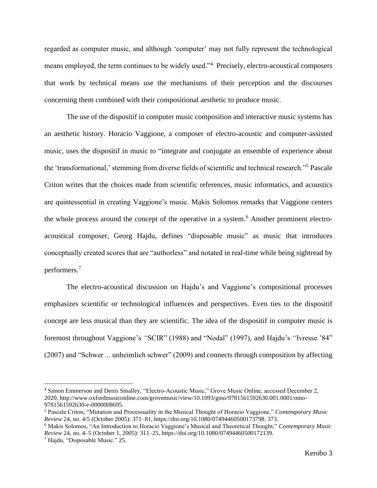regarded as computer music, and although 'computer' may not fully represent the technological means employed, the term continues to be widely used.<sup>34</sup> Precisely, electro-acoustical composers that work by technical means use the mechanisms of their perception and the discourses concerning them combined with their compositional aesthetic to produce music.

The use of the dispositif in computer music composition and interactive music systems has an aesthetic history. Horacio Vaggione, a composer of electro-acoustic and computer-assisted music, uses the dispositif in music to "integrate and conjugate an ensemble of experience about the 'transformational,' stemming from diverse fields of scientific and technical research." <sup>5</sup> Pascale Criton writes that the choices made from scientific references, music informatics, and acoustics are quintessential in creating Vaggione's music. Makis Solomos remarks that Vaggione centers the whole process around the concept of the operative in a system.<sup>6</sup> Another prominent electroacoustical composer, Georg Hajdu, defines "disposable music" as music that introduces conceptually created scores that are "authorless" and notated in real-time while being sightread by performers.<sup>7</sup>

The electro-acoustical discussion on Hajdu's and Vaggione's compositional processes emphasizes scientific or technological influences and perspectives. Even ties to the dispositif concept are less musical than they are scientific. The idea of the dispositif in computer music is foremost throughout Vaggione's *"*SCIR" (1988) and "Nodal" (1997), and Hajdu's *"*Ivresse '84" (2007) and "Schwer ... unheimlich schwer" (2009) and connects through composition by affecting

<sup>4</sup> Simon Emmerson and Denis Smalley, "Electro-Acoustic Music," Grove Music Online, accessed December 2, 2020, http://www.oxfordmusiconline.com/grovemusic/view/10.1093/gmo/9781561592630.001.0001/omo-9781561592630-e-0000008695.

<sup>5</sup> Pascale Criton, "Mutation and Processuality in the Musical Thought of Horacio Vaggione," *Contemporary Music Review* 24, no. 4/5 (October 2005): 371–81, https://doi.org/10.1080/07494460500173798. 373.

<sup>6</sup> Makis Solomos, "An Introduction to Horacio Vaggione's Musical and Theoretical Thought," *Contemporary Music Review* 24, no. 4–5 (October 1, 2005): 311–25, https://doi.org/10.1080/07494460500172139.

<sup>7</sup> Hajdu, "Disposable Music." 25.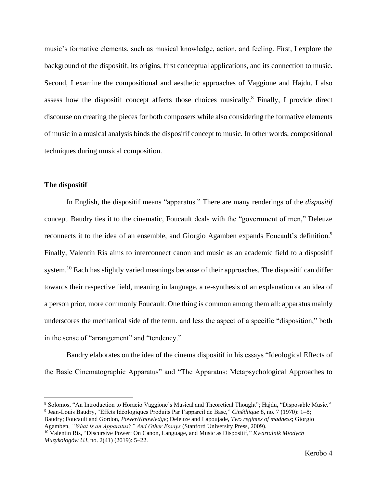music's formative elements, such as musical knowledge, action, and feeling. First, I explore the background of the dispositif, its origins, first conceptual applications, and its connection to music. Second, I examine the compositional and aesthetic approaches of Vaggione and Hajdu. I also assess how the dispositif concept affects those choices musically.<sup>8</sup> Finally, I provide direct discourse on creating the pieces for both composers while also considering the formative elements of music in a musical analysis binds the dispositif concept to music. In other words, compositional techniques during musical composition.

### **The dispositif**

In English, the dispositif means "apparatus." There are many renderings of the *dispositif*  concept. Baudry ties it to the cinematic, Foucault deals with the "government of men," Deleuze reconnects it to the idea of an ensemble, and Giorgio Agamben expands Foucault's definition.<sup>9</sup> Finally, Valentin Ris aims to interconnect canon and music as an academic field to a dispositif system.<sup>10</sup> Each has slightly varied meanings because of their approaches. The dispositif can differ towards their respective field, meaning in language, a re-synthesis of an explanation or an idea of a person prior, more commonly Foucault. One thing is common among them all: apparatus mainly underscores the mechanical side of the term, and less the aspect of a specific "disposition," both in the sense of "arrangement" and "tendency."

Baudry elaborates on the idea of the cinema dispositif in his essays "Ideological Effects of the Basic Cinematographic Apparatus" and "The Apparatus: Metapsychological Approaches to

<sup>8</sup> Solomos, "An Introduction to Horacio Vaggione's Musical and Theoretical Thought"; Hajdu, "Disposable Music." 9 Jean-Louis Baudry, "Effets Idéologiques Produits Par l'appareil de Base," *Cinéthique* 8, no. 7 (1970): 1–8;

Baudry; Foucault and Gordon, *Power/Knowledge*; Deleuze and Lapoujade, *Two regimes of madness*; Giorgio Agamben, *"What Is an Apparatus?" And Other Essays* (Stanford University Press, 2009).

<sup>10</sup> Valentin Ris, "Discursive Power: On Canon, Language, and Music as Dispositif," *Kwartalnik Młodych Muzykologów UJ*, no. 2(41) (2019): 5–22.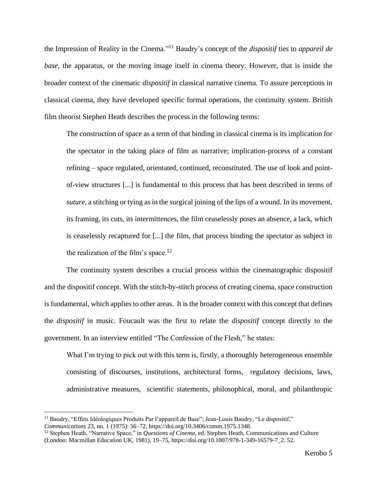the Impression of Reality in the Cinema." <sup>11</sup> Baudry's concept of the *dispositif* ties to *appareil de base*, the apparatus, or the moving image itself in cinema theory. However, that is inside the broader context of the cinematic *dispositif* in classical narrative cinema. To assure perceptions in classical cinema, they have developed specific formal operations, the continuity system. British film theorist Stephen Heath describes the process in the following terms:

The construction of space as a term of that binding in classical cinema is its implication for the spectator in the taking place of film as narrative; implication-process of a constant refining – space regulated, orientated, continued, reconstituted. The use of look and pointof-view structures [...] is fundamental to this process that has been described in terms of *suture*, a stitching or tying as in the surgical joining of the lips of a wound. In its movement, its framing, its cuts, its intermittences, the film ceaselessly poses an absence, a lack, which is ceaselessly recaptured for [...] the film, that process binding the spectator as subject in the realization of the film's space.<sup>12</sup>

The continuity system describes a crucial process within the cinematographic dispositif and the dispositif concept. With the stitch-by-stitch process of creating cinema, space construction is fundamental, which applies to other areas. It is the broader context with this concept that defines the *dispositif* in music. Foucault was the first to relate the *dispositif* concept directly to the government. In an interview entitled "The Confession of the Flesh," he states:

What I'm trying to pick out with this term is, firstly, a thoroughly heterogeneous ensemble consisting of discourses, institutions, architectural forms, regulatory decisions, laws, administrative measures, scientific statements, philosophical, moral, and philanthropic

<sup>&</sup>lt;sup>11</sup> Baudry, "Effets Idéologiques Produits Par l'appareil de Base"; Jean-Louis Baudry, "Le dispositif," *Communications* 23, no. 1 (1975): 56–72, https://doi.org/10.3406/comm.1975.1348.

<sup>&</sup>lt;sup>12</sup> Stephen Heath, "Narrative Space," in *Questions of Cinema*, ed. Stephen Heath, Communications and Culture (London: Macmillan Education UK, 1981), 19–75, https://doi.org/10.1007/978-1-349-16579-7\_2. 52.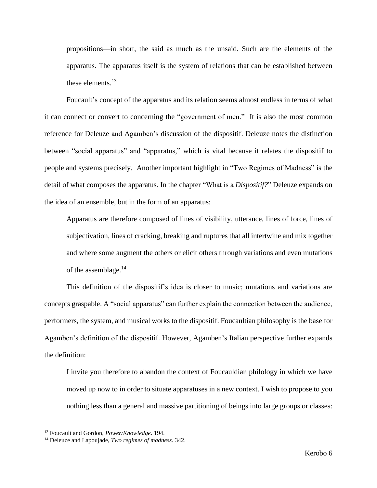propositions—in short, the said as much as the unsaid. Such are the elements of the apparatus. The apparatus itself is the system of relations that can be established between these elements. 13

Foucault's concept of the apparatus and its relation seems almost endless in terms of what it can connect or convert to concerning the "government of men." It is also the most common reference for Deleuze and Agamben's discussion of the dispositif. Deleuze notes the distinction between "social apparatus" and "apparatus," which is vital because it relates the dispositif to people and systems precisely. Another important highlight in "Two Regimes of Madness" is the detail of what composes the apparatus. In the chapter "What is a *Dispositif?*" Deleuze expands on the idea of an ensemble, but in the form of an apparatus:

Apparatus are therefore composed of lines of visibility, utterance, lines of force, lines of subjectivation, lines of cracking, breaking and ruptures that all intertwine and mix together and where some augment the others or elicit others through variations and even mutations of the assemblage.<sup>14</sup>

This definition of the dispositif's idea is closer to music; mutations and variations are concepts graspable. A "social apparatus" can further explain the connection between the audience, performers, the system, and musical works to the dispositif. Foucaultian philosophy is the base for Agamben's definition of the dispositif. However, Agamben's Italian perspective further expands the definition:

I invite you therefore to abandon the context of Foucauldian philology in which we have moved up now to in order to situate apparatuses in a new context. I wish to propose to you nothing less than a general and massive partitioning of beings into large groups or classes:

<sup>13</sup> Foucault and Gordon, *Power/Knowledge*. 194.

<sup>14</sup> Deleuze and Lapoujade, *Two regimes of madness*. 342.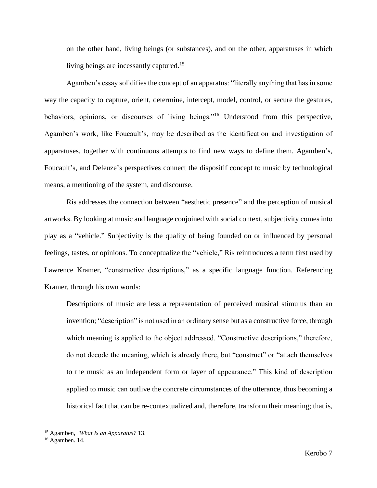on the other hand, living beings (or substances), and on the other, apparatuses in which living beings are incessantly captured.<sup>15</sup>

Agamben's essay solidifies the concept of an apparatus: "literally anything that has in some way the capacity to capture, orient, determine, intercept, model, control, or secure the gestures, behaviors, opinions, or discourses of living beings."<sup>16</sup> Understood from this perspective, Agamben's work, like Foucault's, may be described as the identification and investigation of apparatuses, together with continuous attempts to find new ways to define them. Agamben's, Foucault's, and Deleuze's perspectives connect the dispositif concept to music by technological means, a mentioning of the system, and discourse.

Ris addresses the connection between "aesthetic presence" and the perception of musical artworks. By looking at music and language conjoined with social context, subjectivity comes into play as a "vehicle." Subjectivity is the quality of being founded on or influenced by personal feelings, tastes, or opinions. To conceptualize the "vehicle," Ris reintroduces a term first used by Lawrence Kramer, "constructive descriptions," as a specific language function. Referencing Kramer, through his own words:

Descriptions of music are less a representation of perceived musical stimulus than an invention; "description" is not used in an ordinary sense but as a constructive force, through which meaning is applied to the object addressed. "Constructive descriptions," therefore, do not decode the meaning, which is already there, but "construct" or "attach themselves to the music as an independent form or layer of appearance." This kind of description applied to music can outlive the concrete circumstances of the utterance, thus becoming a historical fact that can be re-contextualized and, therefore, transform their meaning; that is,

<sup>15</sup> Agamben, *"What Is an Apparatus?* 13.

<sup>16</sup> Agamben. 14.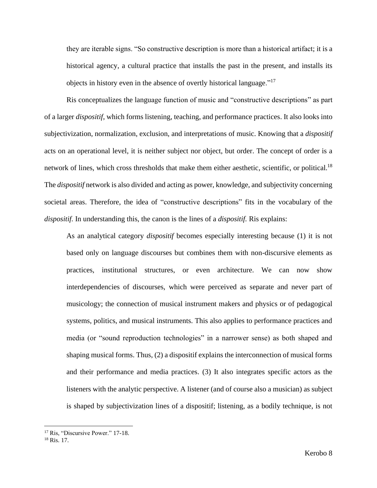they are iterable signs. "So constructive description is more than a historical artifact; it is a historical agency, a cultural practice that installs the past in the present, and installs its objects in history even in the absence of overtly historical language."<sup>17</sup>

Ris conceptualizes the language function of music and "constructive descriptions" as part of a larger *dispositif*, which forms listening, teaching, and performance practices. It also looks into subjectivization, normalization, exclusion, and interpretations of music. Knowing that a *dispositif*  acts on an operational level, it is neither subject nor object, but order. The concept of order is a network of lines, which cross thresholds that make them either aesthetic, scientific, or political.<sup>18</sup> The *dispositif* network is also divided and acting as power, knowledge, and subjectivity concerning societal areas. Therefore, the idea of "constructive descriptions" fits in the vocabulary of the *dispositif.* In understanding this, the canon is the lines of a *dispositif.* Ris explains:

As an analytical category *dispositif* becomes especially interesting because (1) it is not based only on language discourses but combines them with non-discursive elements as practices, institutional structures, or even architecture. We can now show interdependencies of discourses, which were perceived as separate and never part of musicology; the connection of musical instrument makers and physics or of pedagogical systems, politics, and musical instruments. This also applies to performance practices and media (or "sound reproduction technologies" in a narrower sense) as both shaped and shaping musical forms. Thus, (2) a dispositif explains the interconnection of musical forms and their performance and media practices. (3) It also integrates specific actors as the listeners with the analytic perspective. A listener (and of course also a musician) as subject is shaped by subjectivization lines of a dispositif; listening, as a bodily technique, is not

<sup>18</sup> Ris. 17.

<sup>&</sup>lt;sup>17</sup> Ris, "Discursive Power." 17-18.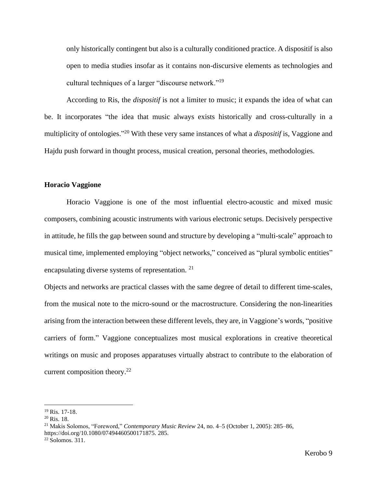only historically contingent but also is a culturally conditioned practice. A dispositif is also open to media studies insofar as it contains non-discursive elements as technologies and cultural techniques of a larger "discourse network."<sup>19</sup>

According to Ris, the *dispositif* is not a limiter to music; it expands the idea of what can be. It incorporates "the idea that music always exists historically and cross-culturally in a multiplicity of ontologies." <sup>20</sup> With these very same instances of what a *dispositif* is, Vaggione and Hajdu push forward in thought process, musical creation, personal theories, methodologies.

### **Horacio Vaggione**

Horacio Vaggione is one of the most influential electro-acoustic and mixed music composers, combining acoustic instruments with various electronic setups. Decisively perspective in attitude, he fills the gap between sound and structure by developing a "multi-scale" approach to musical time, implemented employing "object networks," conceived as "plural symbolic entities" encapsulating diverse systems of representation. <sup>21</sup>

Objects and networks are practical classes with the same degree of detail to different time-scales, from the musical note to the micro-sound or the macrostructure. Considering the non-linearities arising from the interaction between these different levels, they are, in Vaggione's words, "positive carriers of form." Vaggione conceptualizes most musical explorations in creative theoretical writings on music and proposes apparatuses virtually abstract to contribute to the elaboration of current composition theory. $^{22}$ 

<sup>19</sup> Ris. 17-18.

 $20$  Ris. 18.

<sup>21</sup> Makis Solomos, "Foreword," *Contemporary Music Review* 24, no. 4–5 (October 1, 2005): 285–86, https://doi.org/10.1080/07494460500171875. 285.

 $22$  Solomos. 311.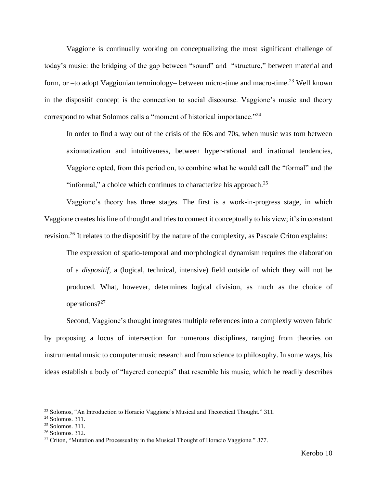Vaggione is continually working on conceptualizing the most significant challenge of today's music: the bridging of the gap between "sound" and "structure," between material and form, or –to adopt Vaggionian terminology– between micro-time and macro-time.<sup>23</sup> Well known in the dispositif concept is the connection to social discourse. Vaggione's music and theory correspond to what Solomos calls a "moment of historical importance."<sup>24</sup>

In order to find a way out of the crisis of the 60s and 70s, when music was torn between axiomatization and intuitiveness, between hyper-rational and irrational tendencies, Vaggione opted, from this period on, to combine what he would call the "formal" and the "informal," a choice which continues to characterize his approach. $2<sup>5</sup>$ 

Vaggione's theory has three stages. The first is a work-in-progress stage, in which Vaggione creates his line of thought and tries to connect it conceptually to his view; it's in constant revision.<sup>26</sup> It relates to the dispositif by the nature of the complexity, as Pascale Criton explains:

The expression of spatio-temporal and morphological dynamism requires the elaboration of a *dispositif*, a (logical, technical, intensive) field outside of which they will not be produced. What, however, determines logical division, as much as the choice of operations?<sup>27</sup>

Second, Vaggione's thought integrates multiple references into a complexly woven fabric by proposing a locus of intersection for numerous disciplines, ranging from theories on instrumental music to computer music research and from science to philosophy. In some ways, his ideas establish a body of "layered concepts" that resemble his music, which he readily describes

<sup>&</sup>lt;sup>23</sup> Solomos, "An Introduction to Horacio Vaggione's Musical and Theoretical Thought." 311.

 $24$  Solomos. 311.

<sup>25</sup> Solomos. 311.

<sup>26</sup> Solomos. 312.

<sup>&</sup>lt;sup>27</sup> Criton, "Mutation and Processuality in the Musical Thought of Horacio Vaggione." 377.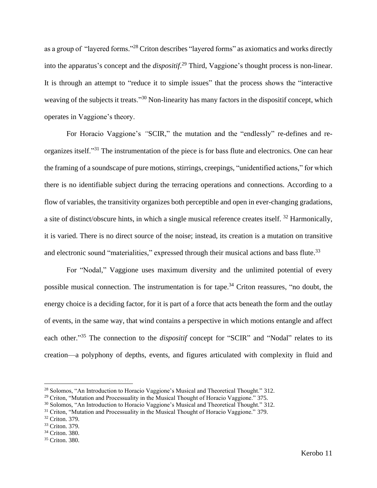as a group of "layered forms."<sup>28</sup> Criton describes "layered forms" as axiomatics and works directly into the apparatus's concept and the *dispositif*. <sup>29</sup> Third, Vaggione's thought process is non-linear. It is through an attempt to "reduce it to simple issues" that the process shows the "interactive weaving of the subjects it treats."<sup>30</sup> Non-linearity has many factors in the dispositif concept, which operates in Vaggione's theory.

For Horacio Vaggione's *"*SCIR," the mutation and the "endlessly" re-defines and reorganizes itself."<sup>31</sup> The instrumentation of the piece is for bass flute and electronics. One can hear the framing of a soundscape of pure motions, stirrings, creepings, "unidentified actions," for which there is no identifiable subject during the terracing operations and connections. According to a flow of variables, the transitivity organizes both perceptible and open in ever-changing gradations, a site of distinct/obscure hints, in which a single musical reference creates itself. <sup>32</sup> Harmonically, it is varied. There is no direct source of the noise; instead, its creation is a mutation on transitive and electronic sound "materialities," expressed through their musical actions and bass flute.<sup>33</sup>

For "Nodal," Vaggione uses maximum diversity and the unlimited potential of every possible musical connection. The instrumentation is for tape.<sup>34</sup> Criton reassures, "no doubt, the energy choice is a deciding factor, for it is part of a force that acts beneath the form and the outlay of events, in the same way, that wind contains a perspective in which motions entangle and affect each other."<sup>35</sup> The connection to the *dispositif* concept for "SCIR" and "Nodal" relates to its creation—a polyphony of depths, events, and figures articulated with complexity in fluid and

<sup>28</sup> Solomos, "An Introduction to Horacio Vaggione's Musical and Theoretical Thought." 312.

 $29$  Criton, "Mutation and Processuality in the Musical Thought of Horacio Vaggione." 375.

<sup>30</sup> Solomos, "An Introduction to Horacio Vaggione's Musical and Theoretical Thought." 312.

<sup>&</sup>lt;sup>31</sup> Criton, "Mutation and Processuality in the Musical Thought of Horacio Vaggione." 379.

<sup>32</sup> Criton. 379.

<sup>33</sup> Criton. 379.

<sup>34</sup> Criton. 380.

<sup>35</sup> Criton. 380.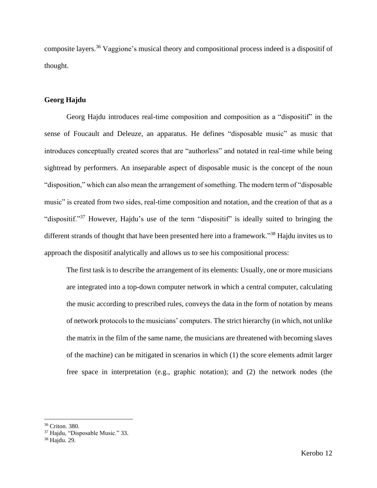composite layers.<sup>36</sup> Vaggione's musical theory and compositional process indeed is a dispositif of thought.

# **Georg Hajdu**

Georg Hajdu introduces real-time composition and composition as a "dispositif" in the sense of Foucault and Deleuze, an apparatus. He defines "disposable music" as music that introduces conceptually created scores that are "authorless" and notated in real-time while being sightread by performers. An inseparable aspect of disposable music is the concept of the noun "disposition," which can also mean the arrangement of something. The modern term of "disposable music" is created from two sides, real-time composition and notation, and the creation of that as a "dispositif."<sup>37</sup> However, Hajdu's use of the term "dispositif" is ideally suited to bringing the different strands of thought that have been presented here into a framework."<sup>38</sup> Hajdu invites us to approach the dispositif analytically and allows us to see his compositional process:

The first task is to describe the arrangement of its elements: Usually, one or more musicians are integrated into a top-down computer network in which a central computer, calculating the music according to prescribed rules, conveys the data in the form of notation by means of network protocols to the musicians' computers. The strict hierarchy (in which, not unlike the matrix in the film of the same name, the musicians are threatened with becoming slaves of the machine) can be mitigated in scenarios in which (1) the score elements admit larger free space in interpretation (e.g., graphic notation); and (2) the network nodes (the

<sup>36</sup> Criton. 380.

<sup>37</sup> Hajdu, "Disposable Music." 33.

<sup>38</sup> Hajdu. 29.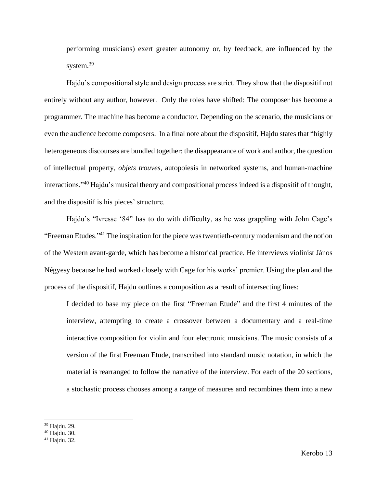performing musicians) exert greater autonomy or, by feedback, are influenced by the system.<sup>39</sup>

Hajdu's compositional style and design process are strict. They show that the dispositif not entirely without any author, however. Only the roles have shifted: The composer has become a programmer. The machine has become a conductor. Depending on the scenario, the musicians or even the audience become composers. In a final note about the dispositif, Hajdu states that "highly heterogeneous discourses are bundled together: the disappearance of work and author, the question of intellectual property, *objets trouves*, autopoiesis in networked systems, and human-machine interactions." <sup>40</sup> Hajdu's musical theory and compositional process indeed is a dispositif of thought, and the dispositif is his pieces' structure.

Hajdu's "Ivresse '84" has to do with difficulty, as he was grappling with John Cage's "Freeman Etudes."<sup>41</sup> The inspiration for the piece was twentieth-century modernism and the notion of the Western avant-garde, which has become a historical practice. He interviews violinist János Négyesy because he had worked closely with Cage for his works' premier. Using the plan and the process of the dispositif, Hajdu outlines a composition as a result of intersecting lines:

I decided to base my piece on the first "Freeman Etude" and the first 4 minutes of the interview, attempting to create a crossover between a documentary and a real-time interactive composition for violin and four electronic musicians. The music consists of a version of the first Freeman Etude, transcribed into standard music notation, in which the material is rearranged to follow the narrative of the interview. For each of the 20 sections, a stochastic process chooses among a range of measures and recombines them into a new

<sup>39</sup> Hajdu. 29.

<sup>40</sup> Hajdu. 30.

<sup>41</sup> Hajdu. 32.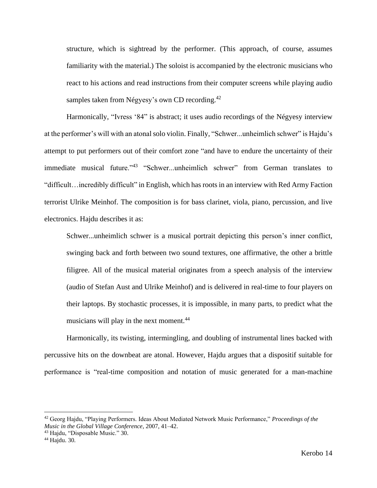structure, which is sightread by the performer. (This approach, of course, assumes familiarity with the material.) The soloist is accompanied by the electronic musicians who react to his actions and read instructions from their computer screens while playing audio samples taken from Négyesy's own CD recording.<sup>42</sup>

Harmonically, "Ivress '84" is abstract; it uses audio recordings of the Négyesy interview at the performer's will with an atonal solo violin. Finally, "Schwer...unheimlich schwer" is Hajdu's attempt to put performers out of their comfort zone "and have to endure the uncertainty of their immediate musical future."<sup>43</sup> "Schwer...unheimlich schwer" from German translates to "difficult…incredibly difficult" in English, which has roots in an interview with Red Army Faction terrorist Ulrike Meinhof. The composition is for bass clarinet, viola, piano, percussion, and live electronics. Hajdu describes it as:

Schwer...unheimlich schwer is a musical portrait depicting this person's inner conflict, swinging back and forth between two sound textures, one affirmative, the other a brittle filigree. All of the musical material originates from a speech analysis of the interview (audio of Stefan Aust and Ulrike Meinhof) and is delivered in real-time to four players on their laptops. By stochastic processes, it is impossible, in many parts, to predict what the musicians will play in the next moment. $44$ 

Harmonically, its twisting, intermingling, and doubling of instrumental lines backed with percussive hits on the downbeat are atonal. However, Hajdu argues that a dispositif suitable for performance is "real-time composition and notation of music generated for a man-machine

<sup>42</sup> Georg Hajdu, "Playing Performers. Ideas About Mediated Network Music Performance," *Proceedings of the Music in the Global Village Conference*, 2007, 41–42.

<sup>43</sup> Hajdu, "Disposable Music." 30.

<sup>44</sup> Hajdu. 30.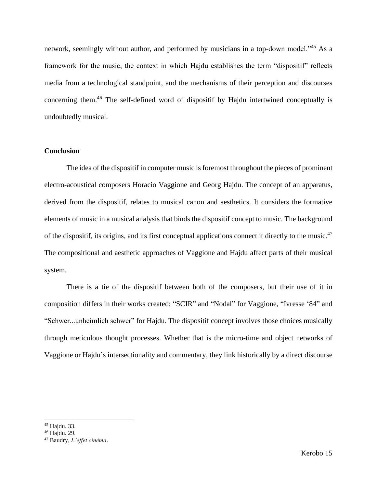network, seemingly without author, and performed by musicians in a top-down model."<sup>45</sup> As a framework for the music, the context in which Hajdu establishes the term "dispositif" reflects media from a technological standpoint, and the mechanisms of their perception and discourses concerning them.<sup>46</sup> The self-defined word of dispositif by Hajdu intertwined conceptually is undoubtedly musical.

# **Conclusion**

The idea of the dispositif in computer music is foremost throughout the pieces of prominent electro-acoustical composers Horacio Vaggione and Georg Hajdu. The concept of an apparatus, derived from the dispositif, relates to musical canon and aesthetics. It considers the formative elements of music in a musical analysis that binds the dispositif concept to music. The background of the dispositif, its origins, and its first conceptual applications connect it directly to the music.<sup>47</sup> The compositional and aesthetic approaches of Vaggione and Hajdu affect parts of their musical system.

There is a tie of the dispositif between both of the composers, but their use of it in composition differs in their works created; "SCIR" and "Nodal" for Vaggione, "Ivresse '84" and "Schwer...unheimlich schwer" for Hajdu. The dispositif concept involves those choices musically through meticulous thought processes. Whether that is the micro-time and object networks of Vaggione or Hajdu's intersectionality and commentary, they link historically by a direct discourse

<sup>45</sup> Hajdu. 33.

<sup>46</sup> Hajdu. 29.

<sup>47</sup> Baudry, *L'effet cinéma*.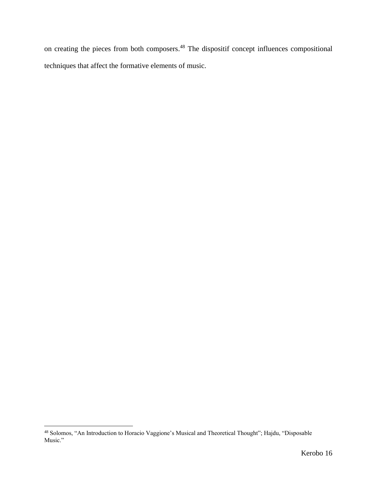on creating the pieces from both composers.<sup>48</sup> The dispositif concept influences compositional techniques that affect the formative elements of music.

<sup>48</sup> Solomos, "An Introduction to Horacio Vaggione's Musical and Theoretical Thought"; Hajdu, "Disposable Music."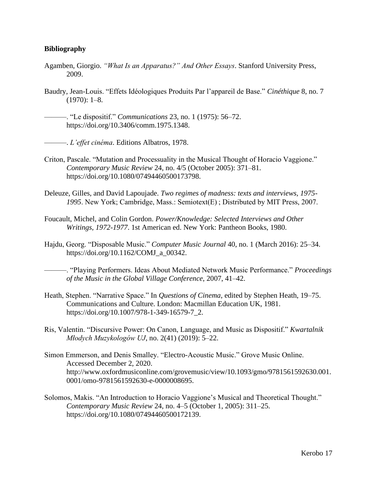# **Bibliography**

- Agamben, Giorgio. *"What Is an Apparatus?" And Other Essays*. Stanford University Press, 2009.
- Baudry, Jean-Louis. "Effets Idéologiques Produits Par l'appareil de Base." *Cinéthique* 8, no. 7  $(1970): 1-8.$

———. "Le dispositif." *Communications* 23, no. 1 (1975): 56–72. https://doi.org/10.3406/comm.1975.1348.

———. *L'effet cinéma*. Editions Albatros, 1978.

- Criton, Pascale. "Mutation and Processuality in the Musical Thought of Horacio Vaggione." *Contemporary Music Review* 24, no. 4/5 (October 2005): 371–81. https://doi.org/10.1080/07494460500173798.
- Deleuze, Gilles, and David Lapoujade. *Two regimes of madness: texts and interviews, 1975- 1995*. New York; Cambridge, Mass.: Semiotext(E) ; Distributed by MIT Press, 2007.
- Foucault, Michel, and Colin Gordon. *Power/Knowledge: Selected Interviews and Other Writings, 1972-1977*. 1st American ed. New York: Pantheon Books, 1980.
- Hajdu, Georg. "Disposable Music." *Computer Music Journal* 40, no. 1 (March 2016): 25–34. https://doi.org/10.1162/COMJ\_a\_00342.

———. "Playing Performers. Ideas About Mediated Network Music Performance." *Proceedings of the Music in the Global Village Conference*, 2007, 41–42.

- Heath, Stephen. "Narrative Space." In *Questions of Cinema*, edited by Stephen Heath, 19–75. Communications and Culture. London: Macmillan Education UK, 1981. https://doi.org/10.1007/978-1-349-16579-7\_2.
- Ris, Valentin. "Discursive Power: On Canon, Language, and Music as Dispositif." *Kwartalnik Młodych Muzykologów UJ*, no. 2(41) (2019): 5–22.
- Simon Emmerson, and Denis Smalley. "Electro-Acoustic Music." Grove Music Online. Accessed December 2, 2020. http://www.oxfordmusiconline.com/grovemusic/view/10.1093/gmo/9781561592630.001. 0001/omo-9781561592630-e-0000008695.
- Solomos, Makis. "An Introduction to Horacio Vaggione's Musical and Theoretical Thought." *Contemporary Music Review* 24, no. 4–5 (October 1, 2005): 311–25. https://doi.org/10.1080/07494460500172139.